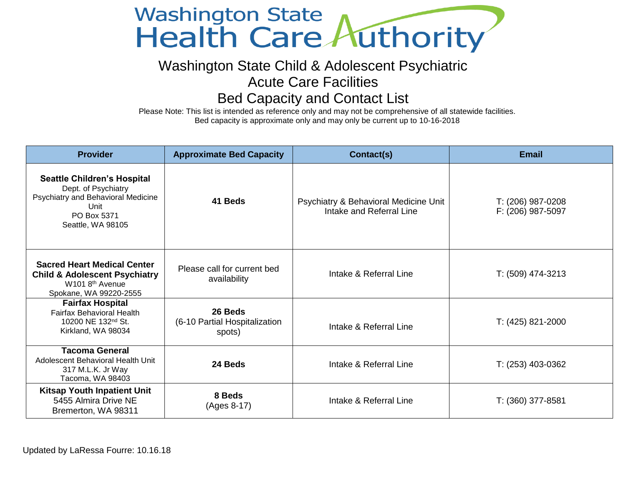## Washington State<br>Health Care Authority

## Washington State Child & Adolescent Psychiatric

Acute Care Facilities

## Bed Capacity and Contact List

Please Note: This list is intended as reference only and may not be comprehensive of all statewide facilities. Bed capacity is approximate only and may only be current up to 10-16-2018

| <b>Provider</b>                                                                                                                                     | <b>Approximate Bed Capacity</b>                    | Contact(s)                                                        | Email                                  |
|-----------------------------------------------------------------------------------------------------------------------------------------------------|----------------------------------------------------|-------------------------------------------------------------------|----------------------------------------|
| <b>Seattle Children's Hospital</b><br>Dept. of Psychiatry<br>Psychiatry and Behavioral Medicine<br>Unit<br>PO Box 5371<br>Seattle, WA 98105         | 41 Beds                                            | Psychiatry & Behavioral Medicine Unit<br>Intake and Referral Line | T: (206) 987-0208<br>F: (206) 987-5097 |
| <b>Sacred Heart Medical Center</b><br><b>Child &amp; Adolescent Psychiatry</b><br>W <sub>101</sub> 8 <sup>th</sup> Avenue<br>Spokane, WA 99220-2555 | Please call for current bed<br>availability        | Intake & Referral Line                                            | T: (509) 474-3213                      |
| <b>Fairfax Hospital</b><br><b>Fairfax Behavioral Health</b><br>10200 NE 132 <sup>nd</sup> St.<br>Kirkland, WA 98034                                 | 26 Beds<br>(6-10 Partial Hospitalization<br>spots) | Intake & Referral Line                                            | T: (425) 821-2000                      |
| <b>Tacoma General</b><br>Adolescent Behavioral Health Unit<br>317 M.L.K. Jr Way<br>Tacoma, WA 98403                                                 | 24 Beds                                            | Intake & Referral Line                                            | T: (253) 403-0362                      |
| <b>Kitsap Youth Inpatient Unit</b><br>5455 Almira Drive NE<br>Bremerton, WA 98311                                                                   | 8 Beds<br>(Ages 8-17)                              | Intake & Referral Line                                            | T: (360) 377-8581                      |